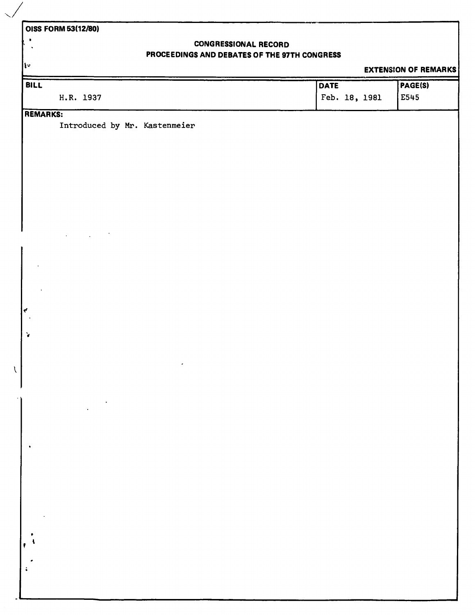# **OISS FORM 53(12/80)**

 $\mathbf{w}$ 

 $\bullet$  $\ddot{\phantom{a}}$ 

## **CONGRESSIONAL RECORD PROCEEDINGS AND DEBATES OF THE 97TH CONGRESS**

### **EXTENSION OF REMARKS**

| BILL               |                               | <b>DATE</b>   | PAGE(S) |
|--------------------|-------------------------------|---------------|---------|
|                    | H.R. 1937                     | Feb. 18, 1981 | E545    |
| REMARKS:           |                               |               |         |
|                    | Introduced by Mr. Kastenmeier |               |         |
|                    |                               |               |         |
|                    |                               |               |         |
|                    |                               |               |         |
|                    |                               |               |         |
|                    |                               |               |         |
|                    |                               |               |         |
|                    |                               |               |         |
|                    |                               |               |         |
|                    |                               |               |         |
|                    |                               |               |         |
|                    |                               |               |         |
|                    |                               |               |         |
|                    |                               |               |         |
| ₹                  |                               |               |         |
|                    |                               |               |         |
| $\mathbf{\hat{r}}$ |                               |               |         |
|                    |                               |               |         |
| $\bar{\cal V}$     |                               |               |         |
|                    |                               |               |         |
|                    |                               |               |         |
|                    |                               |               |         |
|                    |                               |               |         |
|                    |                               |               |         |
|                    |                               |               |         |
|                    |                               |               |         |
|                    |                               |               |         |
|                    |                               |               |         |
|                    |                               |               |         |
|                    |                               |               |         |
|                    |                               |               |         |
|                    |                               |               |         |
|                    |                               |               |         |
|                    |                               |               |         |
|                    |                               |               |         |
|                    |                               |               |         |